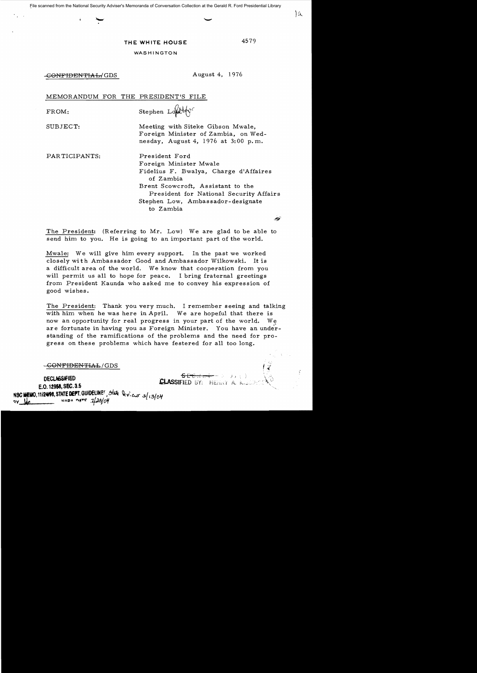## THE WHITE HOUSE

4579

Ιa

| WASHINGTON |  |  |  |
|------------|--|--|--|
|------------|--|--|--|

CONFIDENTIAL/GDS

August 4, 1976

MEMORANDUM FOR THE PRESIDENT'S FILE

FROM:

Stephen Loute

President Ford

of Zambia

to Zambia

Foreign Minister Mwale

SUBJECT:

Meeting with Siteke Gibson Mwale, Foreign Minister of Zambia, on Wednesday, August 4, 1976 at 3:00 p.m.

Fidelius F. Bwalya, Charge d'Affaires

President for National Security Affairs

Brent Scowcroft. Assistant to the

PARTICIPANTS:

Stephen Low, Ambassador-designate

The President: (Referring to Mr. Low) We are glad to be able to send him to you. He is going to an important part of the world.

Mwale: We will give him every support. In the past we worked closely with Ambassador Good and Ambassador Wilkowski. It is a difficult area of the world. We know that cooperation from you will permit us all to hope for peace. I bring fraternal greetings from President Kaunda who asked me to convey his expression of good wishes.

The President: Thank you very much. I remember seeing and talking with him when he was here in April. We are hopeful that there is now an opportunity for real progress in your part of the world. We are fortunate in having you as Foreign Minister. You have an understanding of the ramifications of the problems and the need for progress on these problems which have festered for all too long.

<del>-CONFIDENTIAL</del>/GDS

 $SECHH = \{ |x| | y \in \}$ <br>**CLASSIFIED** BY: HERRY A. K. **DECLASSIFIED** E.O. 12958, SEC. 3.5 NSC MEMO, 11/24/98, STATE DEPT. GUIDELINES, State levieux a/13/04  $79/29/09$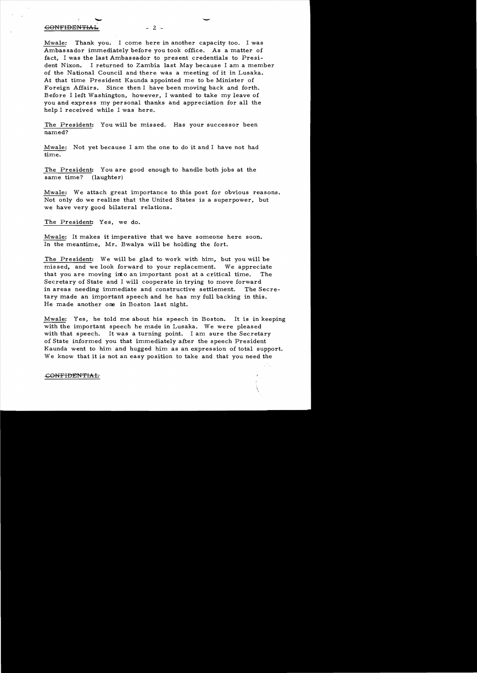## -eONFIDENTIA1.. - 2 -

Mwale: Thank you. I come here in another capacity too. I was Ambassador immediately before you took office. As a matter of fact. I was the last Ambassador to present credentials to President Nixon. I returned to Zambia last May because I am a member of the National Council and there was a meeting of it in Lusaka. At that time President Kaunda appointed me to be Minister of Foreign Affairs. Since then I have been moving back and forth. Before I left Washington. however. I wanted to take my leave of you and express my personal thanks and appreciation for all the help I received while I was here.

The President: You will be missed. Has your successor been named?

Mwale: Not yet because I am the one to do it and I have not had time.

The President: You are good enough to handle both jobs at the same time? (laughter)

Mwale: We attach great importance to this post for obvious reasons. Not only do we realize that the United States is a superpower, but we have very good bilateral relations.

The President: Yes, we do.

Mwale: It makes it imperative that we have someone here soon. In the meantime, Mr. Bwalya will be holding the fort.

The President: We will be glad to work with him, but you will be missed, and we look forward to your replacement. We appreciate that you are moving into an important post at a critical time. The Secretary of State and I will cooperate in trying to move forward in areas needing immediate and constructive settlement. The Secretary made an important speech and he has my full backing in this. He made another one in Boston last night.

Mwale: Yes, he told me about his speech in Boston. It is in keeping with the important speech he made in Lusaka. We were pleased with that speech. It was a turning point. I am sure the Secretary of State informed you that immediately after the speech President Kaunda went to him and hugged him as an expression of total support. We know that it is not an easy position to take and that you need the

## -GONFIDENTIAL

-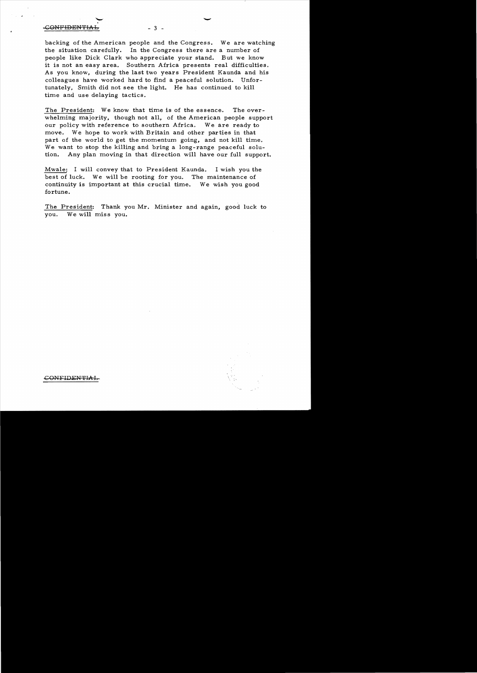## CONFIDENTIAb - 3

backing of the American people and the Congress. We are watching the situation carefully. In the Congress there are a number of people like Dick Clark who appreciate your stand. But we know it is not an easy area. Southern Africa presents real difficulties. As you know, during the last two years President Kaunda and his colleagues have worked hard to find a peaceful solution. Unfortunately, Smith did not see the light. He has continued to kill time and use delaying tactics.

The President: We know that time is of the essence. The overwhelming majority, though not all, of the American people support our policy with reference to southern Africa. Weare ready to move. We hope to work with Britain and other parties in that part of the world to get the momentum going, and not kill time. We want to stop the killing and bring a long-range peaceful solution. Any plan moving in that direction will have our full support.

Mwale: I will convey that to President Kaunda. I wish you the best of luck. We will be rooting for you. The maintenance of continuity is important at this crucial time. We wish you good fortune.

The President: Thank you Mr. Minister and again, good luck to you. We will miss you.

CONFIDENTIAL

 $\overline{\phantom{a}}$